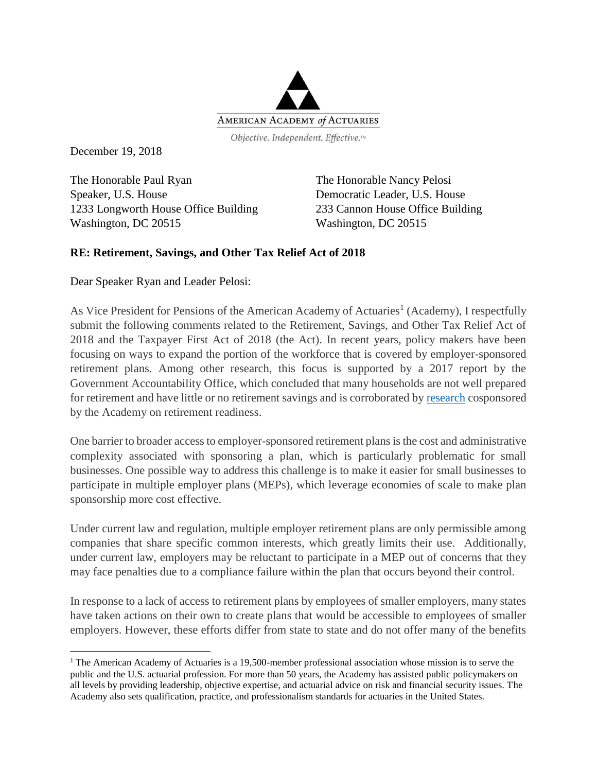

December 19, 2018

 $\overline{a}$ 

The Honorable Paul Ryan Speaker, U.S. House 1233 Longworth House Office Building Washington, DC 20515

The Honorable Nancy Pelosi Democratic Leader, U.S. House 233 Cannon House Office Building Washington, DC 20515

## **RE: Retirement, Savings, and Other Tax Relief Act of 2018**

Dear Speaker Ryan and Leader Pelosi:

As Vice President for Pensions of the American Academy of Actuaries<sup>1</sup> (Academy), I respectfully submit the following comments related to the Retirement, Savings, and Other Tax Relief Act of 2018 and the Taxpayer First Act of 2018 (the Act). In recent years, policy makers have been focusing on ways to expand the portion of the workforce that is covered by employer-sponsored retirement plans. Among other research, this focus is supported by a 2017 report by the Government Accountability Office, which concluded that many households are not well prepared for retirement and have little or no retirement savings and is corroborated b[y research](https://www.actuary.org/files/imce/Retirement-Readiness.pdf) cosponsored by the Academy on retirement readiness.

One barrier to broader access to employer-sponsored retirement plans is the cost and administrative complexity associated with sponsoring a plan, which is particularly problematic for small businesses. One possible way to address this challenge is to make it easier for small businesses to participate in multiple employer plans (MEPs), which leverage economies of scale to make plan sponsorship more cost effective.

Under current law and regulation, multiple employer retirement plans are only permissible among companies that share specific common interests, which greatly limits their use. Additionally, under current law, employers may be reluctant to participate in a MEP out of concerns that they may face penalties due to a compliance failure within the plan that occurs beyond their control.

In response to a lack of access to retirement plans by employees of smaller employers, many states have taken actions on their own to create plans that would be accessible to employees of smaller employers. However, these efforts differ from state to state and do not offer many of the benefits

<sup>1</sup> The American Academy of Actuaries is a 19,500-member professional association whose mission is to serve the public and the U.S. actuarial profession. For more than 50 years, the Academy has assisted public policymakers on all levels by providing leadership, objective expertise, and actuarial advice on risk and financial security issues. The Academy also sets qualification, practice, and professionalism standards for actuaries in the United States.